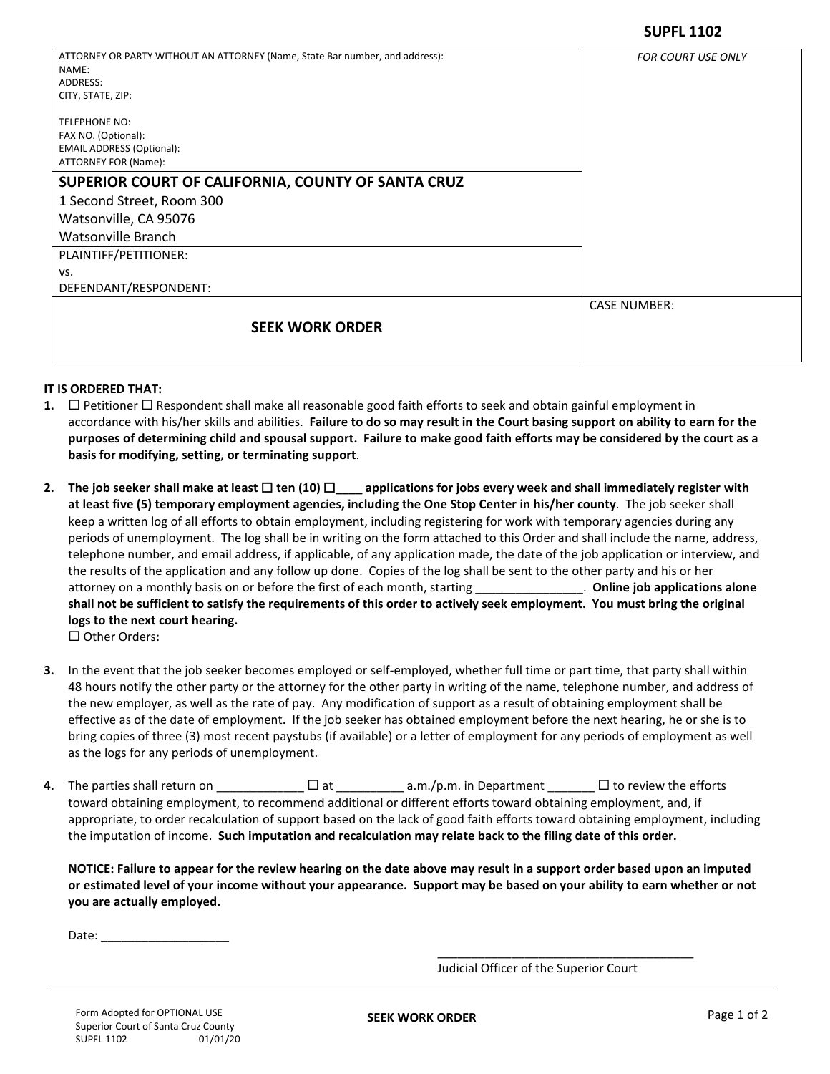| ATTORNEY OR PARTY WITHOUT AN ATTORNEY (Name, State Bar number, and address): | <b>FOR COURT USE ONLY</b> |
|------------------------------------------------------------------------------|---------------------------|
| NAME:                                                                        |                           |
| ADDRESS:                                                                     |                           |
| CITY, STATE, ZIP:                                                            |                           |
| <b>TELEPHONE NO:</b>                                                         |                           |
| FAX NO. (Optional):                                                          |                           |
| <b>EMAIL ADDRESS (Optional):</b>                                             |                           |
| ATTORNEY FOR (Name):                                                         |                           |
| SUPERIOR COURT OF CALIFORNIA, COUNTY OF SANTA CRUZ                           |                           |
| 1 Second Street, Room 300                                                    |                           |
| Watsonville, CA 95076                                                        |                           |
| Watsonville Branch                                                           |                           |
| PLAINTIFF/PETITIONER:                                                        |                           |
| VS.                                                                          |                           |
| DEFENDANT/RESPONDENT:                                                        |                           |
|                                                                              | <b>CASE NUMBER:</b>       |
| <b>SEEK WORK ORDER</b>                                                       |                           |
|                                                                              |                           |

## **IT IS ORDERED THAT:**

- **1.**  $\Box$  Petitioner  $\Box$  Respondent shall make all reasonable good faith efforts to seek and obtain gainful employment in accordance with his/her skills and abilities. **Failure to do so may result in the Court basing support on ability to earn for the purposes of determining child and spousal support. Failure to make good faith efforts may be considered by the court as a basis for modifying, setting, or terminating support**.
- 2. The job seeker shall make at least  $\Box$  ten (10)  $\Box$  applications for jobs every week and shall immediately register with **at least five (5) temporary employment agencies, including the One Stop Center in his/her county**. The job seeker shall keep a written log of all efforts to obtain employment, including registering for work with temporary agencies during any periods of unemployment. The log shall be in writing on the form attached to this Order and shall include the name, address, telephone number, and email address, if applicable, of any application made, the date of the job application or interview, and the results of the application and any follow up done. Copies of the log shall be sent to the other party and his or her attorney on a monthly basis on or before the first of each month, starting \_\_\_\_\_\_\_\_\_\_\_\_\_\_\_\_. **Online job applications alone shall not be sufficient to satisfy the requirements of this order to actively seek employment. You must bring the original logs to the next court hearing.** 
	- $\square$  Other Orders:
- **3.** In the event that the job seeker becomes employed or self-employed, whether full time or part time, that party shall within 48 hours notify the other party or the attorney for the other party in writing of the name, telephone number, and address of the new employer, as well as the rate of pay. Any modification of support as a result of obtaining employment shall be effective as of the date of employment. If the job seeker has obtained employment before the next hearing, he or she is to bring copies of three (3) most recent paystubs (if available) or a letter of employment for any periods of employment as well as the logs for any periods of unemployment.
- **4.** The parties shall return on \_\_\_\_\_\_\_\_\_\_\_\_\_ □ at \_\_\_\_\_\_\_\_\_\_ a.m./p.m. in Department \_\_\_\_\_\_\_ □ to review the efforts toward obtaining employment, to recommend additional or different efforts toward obtaining employment, and, if appropriate, to order recalculation of support based on the lack of good faith efforts toward obtaining employment, including the imputation of income. **Such imputation and recalculation may relate back to the filing date of this order.**

**NOTICE: Failure to appear for the review hearing on the date above may result in a support order based upon an imputed or estimated level of your income without your appearance. Support may be based on your ability to earn whether or not you are actually employed.** 

Date:  $\frac{ }{ }$ 

Judicial Officer of the Superior Court

 $\frac{1}{\sqrt{2}}$  ,  $\frac{1}{\sqrt{2}}$  ,  $\frac{1}{\sqrt{2}}$  ,  $\frac{1}{\sqrt{2}}$  ,  $\frac{1}{\sqrt{2}}$  ,  $\frac{1}{\sqrt{2}}$  ,  $\frac{1}{\sqrt{2}}$  ,  $\frac{1}{\sqrt{2}}$  ,  $\frac{1}{\sqrt{2}}$  ,  $\frac{1}{\sqrt{2}}$  ,  $\frac{1}{\sqrt{2}}$  ,  $\frac{1}{\sqrt{2}}$  ,  $\frac{1}{\sqrt{2}}$  ,  $\frac{1}{\sqrt{2}}$  ,  $\frac{1}{\sqrt{2}}$ 

**SEEK WORK ORDER** Page 1 of 2